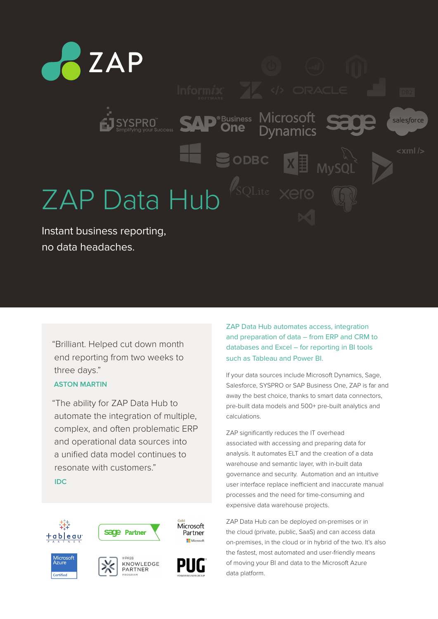

no data headaches.

"Brilliant. Helped cut down month end reporting from two weeks to three days."

# **ASTON MARTIN**

"The ability for ZAP Data Hub to automate the integration of multiple, complex, and often problematic ERP and operational data sources into a unified data model continues to resonate with customers."

**IDC**



ZAP Data Hub automates access, integration and preparation of data – from ERP and CRM to databases and Excel – for reporting in BI tools such as Tableau and Power BI.

If your data sources include Microsoft Dynamics, Sage, Salesforce, SYSPRO or SAP Business One, ZAP is far and away the best choice, thanks to smart data connectors, pre-built data models and 500+ pre-built analytics and calculations.

ZAP significantly reduces the IT overhead associated with accessing and preparing data for analysis. It automates ELT and the creation of a data warehouse and semantic layer, with in-built data governance and security. Automation and an intuitive user interface replace inefficient and inaccurate manual processes and the need for time-consuming and expensive data warehouse projects.

ZAP Data Hub can be deployed on-premises or in the cloud (private, public, SaaS) and can access data on-premises, in the cloud or in hybrid of the two. It's also the fastest, most automated and user-friendly means of moving your BI and data to the Microsoft Azure data platform.